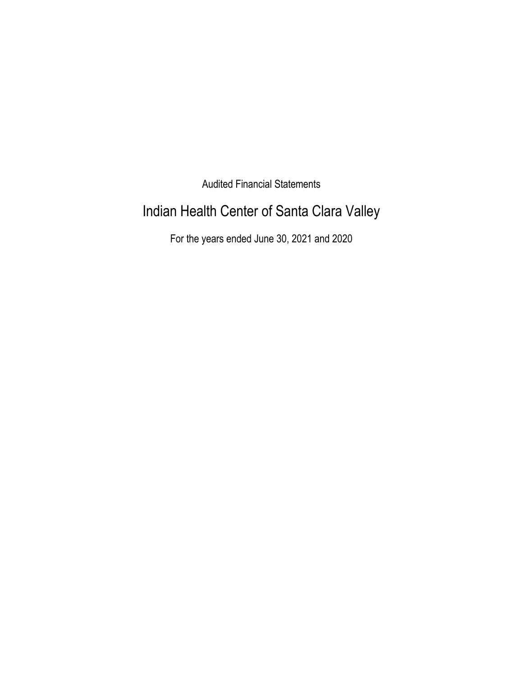Audited Financial Statements

# Indian Health Center of Santa Clara Valley

For the years ended June 30, 2021 and 2020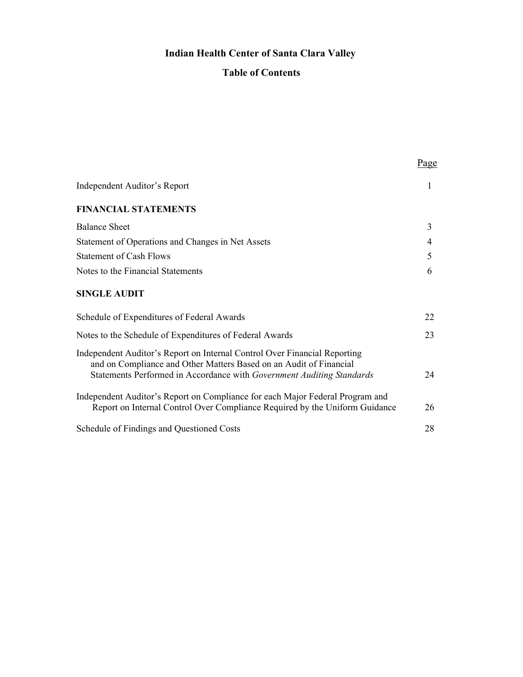# **Indian Health Center of Santa Clara Valley**

# **Table of Contents**

|                                                                                                                                                              | Page |
|--------------------------------------------------------------------------------------------------------------------------------------------------------------|------|
| Independent Auditor's Report                                                                                                                                 | 1    |
| <b>FINANCIAL STATEMENTS</b>                                                                                                                                  |      |
| <b>Balance Sheet</b>                                                                                                                                         | 3    |
| Statement of Operations and Changes in Net Assets                                                                                                            | 4    |
| <b>Statement of Cash Flows</b>                                                                                                                               | 5    |
| Notes to the Financial Statements                                                                                                                            | 6    |
| <b>SINGLE AUDIT</b>                                                                                                                                          |      |
| Schedule of Expenditures of Federal Awards                                                                                                                   | 22   |
| Notes to the Schedule of Expenditures of Federal Awards                                                                                                      | 23   |
| Independent Auditor's Report on Internal Control Over Financial Reporting<br>and on Compliance and Other Matters Based on an Audit of Financial              |      |
| Statements Performed in Accordance with Government Auditing Standards                                                                                        | 24   |
| Independent Auditor's Report on Compliance for each Major Federal Program and<br>Report on Internal Control Over Compliance Required by the Uniform Guidance | 26   |
| Schedule of Findings and Questioned Costs                                                                                                                    | 28   |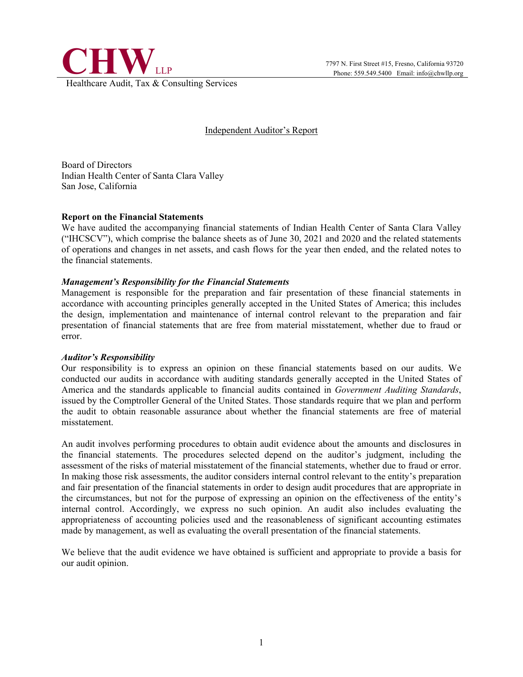

### Independent Auditor's Report

Board of Directors Indian Health Center of Santa Clara Valley San Jose, California

#### **Report on the Financial Statements**

We have audited the accompanying financial statements of Indian Health Center of Santa Clara Valley ("IHCSCV"), which comprise the balance sheets as of June 30, 2021 and 2020 and the related statements of operations and changes in net assets, and cash flows for the year then ended, and the related notes to the financial statements.

#### *Management's Responsibility for the Financial Statements*

Management is responsible for the preparation and fair presentation of these financial statements in accordance with accounting principles generally accepted in the United States of America; this includes the design, implementation and maintenance of internal control relevant to the preparation and fair presentation of financial statements that are free from material misstatement, whether due to fraud or error.

#### *Auditor's Responsibility*

Our responsibility is to express an opinion on these financial statements based on our audits. We conducted our audits in accordance with auditing standards generally accepted in the United States of America and the standards applicable to financial audits contained in *Government Auditing Standards*, issued by the Comptroller General of the United States. Those standards require that we plan and perform the audit to obtain reasonable assurance about whether the financial statements are free of material misstatement.

An audit involves performing procedures to obtain audit evidence about the amounts and disclosures in the financial statements. The procedures selected depend on the auditor's judgment, including the assessment of the risks of material misstatement of the financial statements, whether due to fraud or error. In making those risk assessments, the auditor considers internal control relevant to the entity's preparation and fair presentation of the financial statements in order to design audit procedures that are appropriate in the circumstances, but not for the purpose of expressing an opinion on the effectiveness of the entity's internal control. Accordingly, we express no such opinion. An audit also includes evaluating the appropriateness of accounting policies used and the reasonableness of significant accounting estimates made by management, as well as evaluating the overall presentation of the financial statements.

We believe that the audit evidence we have obtained is sufficient and appropriate to provide a basis for our audit opinion.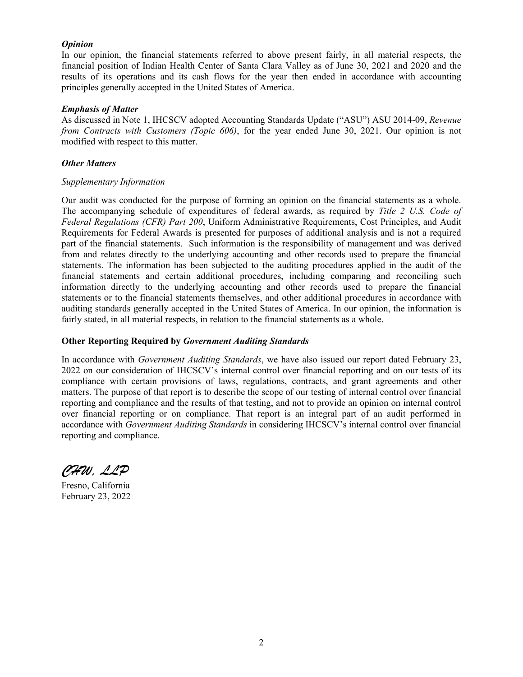#### *Opinion*

In our opinion, the financial statements referred to above present fairly, in all material respects, the financial position of Indian Health Center of Santa Clara Valley as of June 30, 2021 and 2020 and the results of its operations and its cash flows for the year then ended in accordance with accounting principles generally accepted in the United States of America.

#### *Emphasis of Matter*

As discussed in Note 1, IHCSCV adopted Accounting Standards Update ("ASU") ASU 2014-09, *Revenue from Contracts with Customers (Topic 606)*, for the year ended June 30, 2021. Our opinion is not modified with respect to this matter.

#### *Other Matters*

#### *Supplementary Information*

Our audit was conducted for the purpose of forming an opinion on the financial statements as a whole. The accompanying schedule of expenditures of federal awards, as required by *Title 2 U.S. Code of Federal Regulations (CFR) Part 200*, Uniform Administrative Requirements, Cost Principles, and Audit Requirements for Federal Awards is presented for purposes of additional analysis and is not a required part of the financial statements. Such information is the responsibility of management and was derived from and relates directly to the underlying accounting and other records used to prepare the financial statements. The information has been subjected to the auditing procedures applied in the audit of the financial statements and certain additional procedures, including comparing and reconciling such information directly to the underlying accounting and other records used to prepare the financial statements or to the financial statements themselves, and other additional procedures in accordance with auditing standards generally accepted in the United States of America. In our opinion, the information is fairly stated, in all material respects, in relation to the financial statements as a whole.

#### **Other Reporting Required by** *Government Auditing Standards*

In accordance with *Government Auditing Standards*, we have also issued our report dated February 23, 2022 on our consideration of IHCSCV's internal control over financial reporting and on our tests of its compliance with certain provisions of laws, regulations, contracts, and grant agreements and other matters. The purpose of that report is to describe the scope of our testing of internal control over financial reporting and compliance and the results of that testing, and not to provide an opinion on internal control over financial reporting or on compliance. That report is an integral part of an audit performed in accordance with *Government Auditing Standards* in considering IHCSCV's internal control over financial reporting and compliance.

*CHW, LLP*

Fresno, California February 23, 2022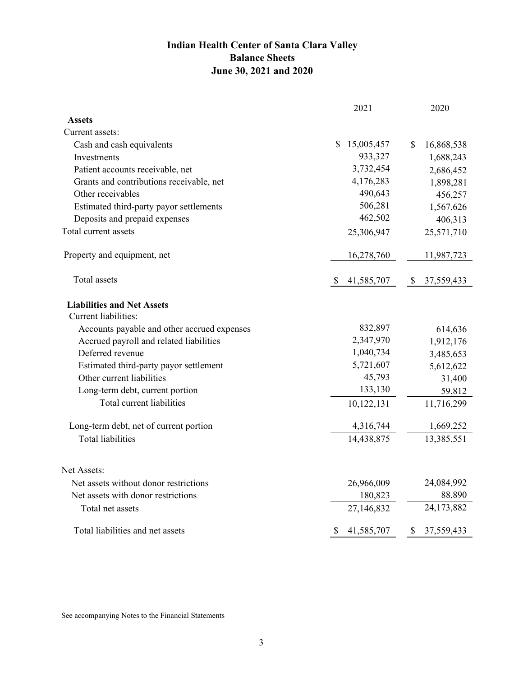# **Indian Health Center of Santa Clara Valley Balance Sheets June 30, 2021 and 2020**

|                                             | 2021                       | 2020                       |
|---------------------------------------------|----------------------------|----------------------------|
| <b>Assets</b>                               |                            |                            |
| Current assets:                             |                            |                            |
| Cash and cash equivalents                   | 15,005,457<br>S            | $\mathbb{S}$<br>16,868,538 |
| Investments                                 | 933,327                    | 1,688,243                  |
| Patient accounts receivable, net            | 3,732,454                  | 2,686,452                  |
| Grants and contributions receivable, net    | 4,176,283                  | 1,898,281                  |
| Other receivables                           | 490,643                    | 456,257                    |
| Estimated third-party payor settlements     | 506,281                    | 1,567,626                  |
| Deposits and prepaid expenses               | 462,502                    | 406,313                    |
| Total current assets                        | 25,306,947                 | 25,571,710                 |
| Property and equipment, net                 | 16,278,760                 | 11,987,723                 |
| Total assets                                | 41,585,707<br>$\mathbb{S}$ | \$<br>37,559,433           |
| <b>Liabilities and Net Assets</b>           |                            |                            |
| Current liabilities:                        |                            |                            |
| Accounts payable and other accrued expenses | 832,897                    | 614,636                    |
| Accrued payroll and related liabilities     | 2,347,970                  | 1,912,176                  |
| Deferred revenue                            | 1,040,734                  | 3,485,653                  |
| Estimated third-party payor settlement      | 5,721,607                  | 5,612,622                  |
| Other current liabilities                   | 45,793                     | 31,400                     |
| Long-term debt, current portion             | 133,130                    | 59,812                     |
| Total current liabilities                   | 10,122,131                 | 11,716,299                 |
| Long-term debt, net of current portion      | 4,316,744                  | 1,669,252                  |
| <b>Total liabilities</b>                    | 14,438,875                 | 13,385,551                 |
| Net Assets:                                 |                            |                            |
| Net assets without donor restrictions       | 26,966,009                 | 24,084,992                 |
| Net assets with donor restrictions          | 180,823                    | 88,890                     |
| Total net assets                            | 27,146,832                 | 24,173,882                 |
| Total liabilities and net assets            | \$<br>41,585,707           | \$<br>37,559,433           |

See accompanying Notes to the Financial Statements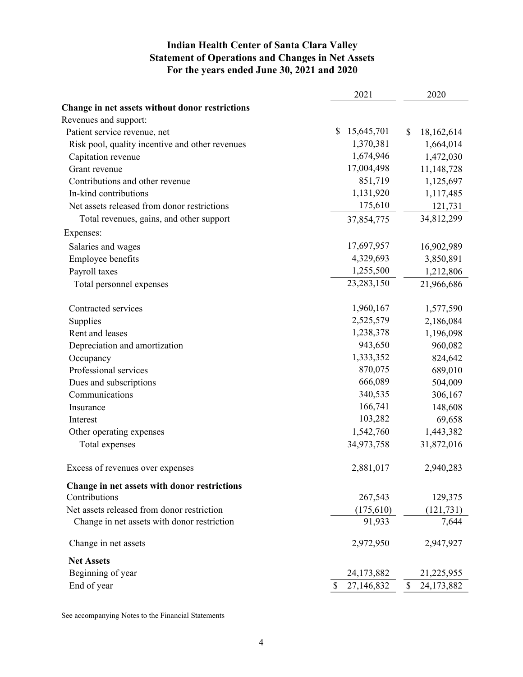# **Indian Health Center of Santa Clara Valley Statement of Operations and Changes in Net Assets For the years ended June 30, 2021 and 2020**

|                                                 | 2021             | 2020             |
|-------------------------------------------------|------------------|------------------|
| Change in net assets without donor restrictions |                  |                  |
| Revenues and support:                           |                  |                  |
| Patient service revenue, net                    | \$<br>15,645,701 | \$<br>18,162,614 |
| Risk pool, quality incentive and other revenues | 1,370,381        | 1,664,014        |
| Capitation revenue                              | 1,674,946        | 1,472,030        |
| Grant revenue                                   | 17,004,498       | 11,148,728       |
| Contributions and other revenue                 | 851,719          | 1,125,697        |
| In-kind contributions                           | 1,131,920        | 1,117,485        |
| Net assets released from donor restrictions     | 175,610          | 121,731          |
| Total revenues, gains, and other support        | 37,854,775       | 34,812,299       |
| Expenses:                                       |                  |                  |
| Salaries and wages                              | 17,697,957       | 16,902,989       |
| Employee benefits                               | 4,329,693        | 3,850,891        |
| Payroll taxes                                   | 1,255,500        | 1,212,806        |
| Total personnel expenses                        | 23,283,150       | 21,966,686       |
| Contracted services                             | 1,960,167        | 1,577,590        |
| Supplies                                        | 2,525,579        | 2,186,084        |
| Rent and leases                                 | 1,238,378        | 1,196,098        |
| Depreciation and amortization                   | 943,650          | 960,082          |
| Occupancy                                       | 1,333,352        | 824,642          |
| Professional services                           | 870,075          | 689,010          |
| Dues and subscriptions                          | 666,089          | 504,009          |
| Communications                                  | 340,535          | 306,167          |
| Insurance                                       | 166,741          | 148,608          |
| Interest                                        | 103,282          | 69,658           |
| Other operating expenses                        | 1,542,760        | 1,443,382        |
| Total expenses                                  | 34,973,758       | 31,872,016       |
| Excess of revenues over expenses                | 2,881,017        | 2,940,283        |
| Change in net assets with donor restrictions    |                  |                  |
| Contributions                                   | 267,543          | 129,375          |
| Net assets released from donor restriction      | (175, 610)       | (121, 731)       |
| Change in net assets with donor restriction     | 91,933           | 7,644            |
| Change in net assets                            | 2,972,950        | 2,947,927        |
| <b>Net Assets</b>                               |                  |                  |
| Beginning of year                               | 24,173,882       | 21,225,955       |
| End of year                                     | \$<br>27,146,832 | \$<br>24,173,882 |

See accompanying Notes to the Financial Statements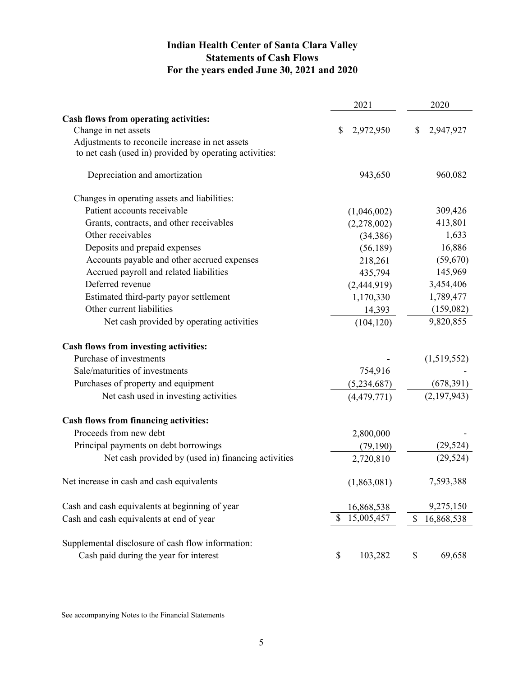# **Indian Health Center of Santa Clara Valley Statements of Cash Flows For the years ended June 30, 2021 and 2020**

|                                                         | 2021             |                           | 2020        |
|---------------------------------------------------------|------------------|---------------------------|-------------|
| Cash flows from operating activities:                   |                  |                           |             |
| Change in net assets                                    | \$<br>2,972,950  | \$                        | 2,947,927   |
| Adjustments to reconcile increase in net assets         |                  |                           |             |
| to net cash (used in) provided by operating activities: |                  |                           |             |
| Depreciation and amortization                           | 943,650          |                           | 960,082     |
| Changes in operating assets and liabilities:            |                  |                           |             |
| Patient accounts receivable                             | (1,046,002)      |                           | 309,426     |
| Grants, contracts, and other receivables                | (2,278,002)      |                           | 413,801     |
| Other receivables                                       | (34, 386)        |                           | 1,633       |
| Deposits and prepaid expenses                           | (56, 189)        |                           | 16,886      |
| Accounts payable and other accrued expenses             | 218,261          |                           | (59,670)    |
| Accrued payroll and related liabilities                 | 435,794          |                           | 145,969     |
| Deferred revenue                                        | (2,444,919)      |                           | 3,454,406   |
| Estimated third-party payor settlement                  | 1,170,330        |                           | 1,789,477   |
| Other current liabilities                               | 14,393           |                           | (159,082)   |
| Net cash provided by operating activities               | (104, 120)       |                           | 9,820,855   |
| Cash flows from investing activities:                   |                  |                           |             |
| Purchase of investments                                 |                  |                           | (1,519,552) |
| Sale/maturities of investments                          | 754,916          |                           |             |
| Purchases of property and equipment                     | (5,234,687)      |                           | (678, 391)  |
| Net cash used in investing activities                   | (4, 479, 771)    |                           | (2,197,943) |
| Cash flows from financing activities:                   |                  |                           |             |
| Proceeds from new debt                                  | 2,800,000        |                           |             |
| Principal payments on debt borrowings                   | (79, 190)        |                           | (29, 524)   |
| Net cash provided by (used in) financing activities     | 2,720,810        |                           | (29, 524)   |
| Net increase in cash and cash equivalents               | (1,863,081)      |                           | 7,593,388   |
| Cash and cash equivalents at beginning of year          | 16,868,538       |                           | 9,275,150   |
| Cash and cash equivalents at end of year                | \$<br>15,005,457 | $\boldsymbol{\mathsf{S}}$ | 16,868,538  |
| Supplemental disclosure of cash flow information:       |                  |                           |             |
| Cash paid during the year for interest                  | \$<br>103,282    | \$                        | 69,658      |

See accompanying Notes to the Financial Statements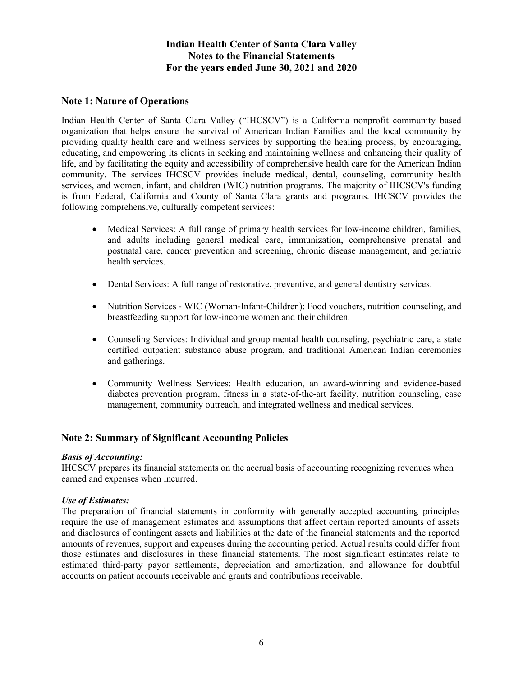### **Note 1: Nature of Operations**

Indian Health Center of Santa Clara Valley ("IHCSCV") is a California nonprofit community based organization that helps ensure the survival of American Indian Families and the local community by providing quality health care and wellness services by supporting the healing process, by encouraging, educating, and empowering its clients in seeking and maintaining wellness and enhancing their quality of life, and by facilitating the equity and accessibility of comprehensive health care for the American Indian community. The services IHCSCV provides include medical, dental, counseling, community health services, and women, infant, and children (WIC) nutrition programs. The majority of IHCSCV's funding is from Federal, California and County of Santa Clara grants and programs. IHCSCV provides the following comprehensive, culturally competent services:

- Medical Services: A full range of primary health services for low-income children, families, and adults including general medical care, immunization, comprehensive prenatal and postnatal care, cancer prevention and screening, chronic disease management, and geriatric health services.
- Dental Services: A full range of restorative, preventive, and general dentistry services.
- Nutrition Services WIC (Woman-Infant-Children): Food vouchers, nutrition counseling, and breastfeeding support for low-income women and their children.
- Counseling Services: Individual and group mental health counseling, psychiatric care, a state certified outpatient substance abuse program, and traditional American Indian ceremonies and gatherings.
- Community Wellness Services: Health education, an award-winning and evidence-based diabetes prevention program, fitness in a state-of-the-art facility, nutrition counseling, case management, community outreach, and integrated wellness and medical services.

### **Note 2: Summary of Significant Accounting Policies**

#### *Basis of Accounting:*

IHCSCV prepares its financial statements on the accrual basis of accounting recognizing revenues when earned and expenses when incurred.

#### *Use of Estimates:*

The preparation of financial statements in conformity with generally accepted accounting principles require the use of management estimates and assumptions that affect certain reported amounts of assets and disclosures of contingent assets and liabilities at the date of the financial statements and the reported amounts of revenues, support and expenses during the accounting period. Actual results could differ from those estimates and disclosures in these financial statements. The most significant estimates relate to estimated third-party payor settlements, depreciation and amortization, and allowance for doubtful accounts on patient accounts receivable and grants and contributions receivable.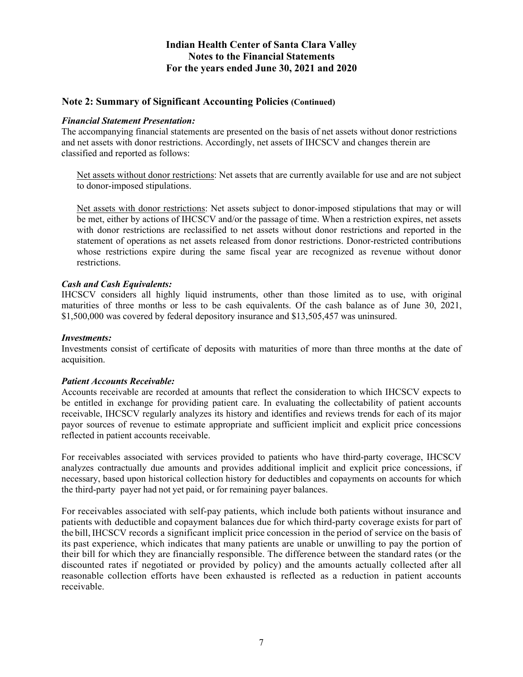### **Note 2: Summary of Significant Accounting Policies (Continued)**

#### *Financial Statement Presentation:*

The accompanying financial statements are presented on the basis of net assets without donor restrictions and net assets with donor restrictions. Accordingly, net assets of IHCSCV and changes therein are classified and reported as follows:

Net assets without donor restrictions: Net assets that are currently available for use and are not subject to donor-imposed stipulations.

Net assets with donor restrictions: Net assets subject to donor-imposed stipulations that may or will be met, either by actions of IHCSCV and/or the passage of time. When a restriction expires, net assets with donor restrictions are reclassified to net assets without donor restrictions and reported in the statement of operations as net assets released from donor restrictions. Donor-restricted contributions whose restrictions expire during the same fiscal year are recognized as revenue without donor restrictions.

#### *Cash and Cash Equivalents:*

IHCSCV considers all highly liquid instruments, other than those limited as to use, with original maturities of three months or less to be cash equivalents. Of the cash balance as of June 30, 2021, \$1,500,000 was covered by federal depository insurance and \$13,505,457 was uninsured.

#### *Investments:*

Investments consist of certificate of deposits with maturities of more than three months at the date of acquisition.

#### *Patient Accounts Receivable:*

Accounts receivable are recorded at amounts that reflect the consideration to which IHCSCV expects to be entitled in exchange for providing patient care. In evaluating the collectability of patient accounts receivable, IHCSCV regularly analyzes its history and identifies and reviews trends for each of its major payor sources of revenue to estimate appropriate and sufficient implicit and explicit price concessions reflected in patient accounts receivable.

For receivables associated with services provided to patients who have third-party coverage, IHCSCV analyzes contractually due amounts and provides additional implicit and explicit price concessions, if necessary, based upon historical collection history for deductibles and copayments on accounts for which the third-party payer had not yet paid, or for remaining payer balances.

For receivables associated with self-pay patients, which include both patients without insurance and patients with deductible and copayment balances due for which third-party coverage exists for part of the bill, IHCSCV records a significant implicit price concession in the period of service on the basis of its past experience, which indicates that many patients are unable or unwilling to pay the portion of their bill for which they are financially responsible. The difference between the standard rates (or the discounted rates if negotiated or provided by policy) and the amounts actually collected after all reasonable collection efforts have been exhausted is reflected as a reduction in patient accounts receivable.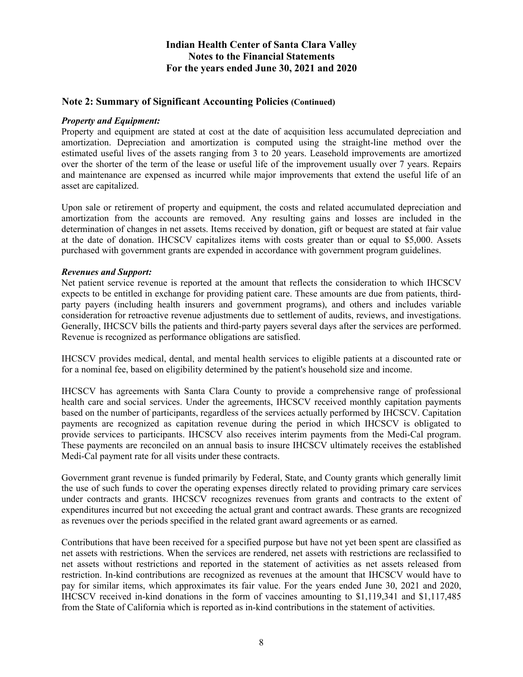### **Note 2: Summary of Significant Accounting Policies (Continued)**

#### *Property and Equipment:*

Property and equipment are stated at cost at the date of acquisition less accumulated depreciation and amortization. Depreciation and amortization is computed using the straight-line method over the estimated useful lives of the assets ranging from 3 to 20 years. Leasehold improvements are amortized over the shorter of the term of the lease or useful life of the improvement usually over 7 years. Repairs and maintenance are expensed as incurred while major improvements that extend the useful life of an asset are capitalized.

Upon sale or retirement of property and equipment, the costs and related accumulated depreciation and amortization from the accounts are removed. Any resulting gains and losses are included in the determination of changes in net assets. Items received by donation, gift or bequest are stated at fair value at the date of donation. IHCSCV capitalizes items with costs greater than or equal to \$5,000. Assets purchased with government grants are expended in accordance with government program guidelines.

#### *Revenues and Support:*

Net patient service revenue is reported at the amount that reflects the consideration to which IHCSCV expects to be entitled in exchange for providing patient care. These amounts are due from patients, thirdparty payers (including health insurers and government programs), and others and includes variable consideration for retroactive revenue adjustments due to settlement of audits, reviews, and investigations. Generally, IHCSCV bills the patients and third-party payers several days after the services are performed. Revenue is recognized as performance obligations are satisfied.

IHCSCV provides medical, dental, and mental health services to eligible patients at a discounted rate or for a nominal fee, based on eligibility determined by the patient's household size and income.

IHCSCV has agreements with Santa Clara County to provide a comprehensive range of professional health care and social services. Under the agreements, IHCSCV received monthly capitation payments based on the number of participants, regardless of the services actually performed by IHCSCV. Capitation payments are recognized as capitation revenue during the period in which IHCSCV is obligated to provide services to participants. IHCSCV also receives interim payments from the Medi-Cal program. These payments are reconciled on an annual basis to insure IHCSCV ultimately receives the established Medi-Cal payment rate for all visits under these contracts.

Government grant revenue is funded primarily by Federal, State, and County grants which generally limit the use of such funds to cover the operating expenses directly related to providing primary care services under contracts and grants. IHCSCV recognizes revenues from grants and contracts to the extent of expenditures incurred but not exceeding the actual grant and contract awards. These grants are recognized as revenues over the periods specified in the related grant award agreements or as earned.

Contributions that have been received for a specified purpose but have not yet been spent are classified as net assets with restrictions. When the services are rendered, net assets with restrictions are reclassified to net assets without restrictions and reported in the statement of activities as net assets released from restriction. In-kind contributions are recognized as revenues at the amount that IHCSCV would have to pay for similar items, which approximates its fair value. For the years ended June 30, 2021 and 2020, IHCSCV received in-kind donations in the form of vaccines amounting to \$1,119,341 and \$1,117,485 from the State of California which is reported as in-kind contributions in the statement of activities.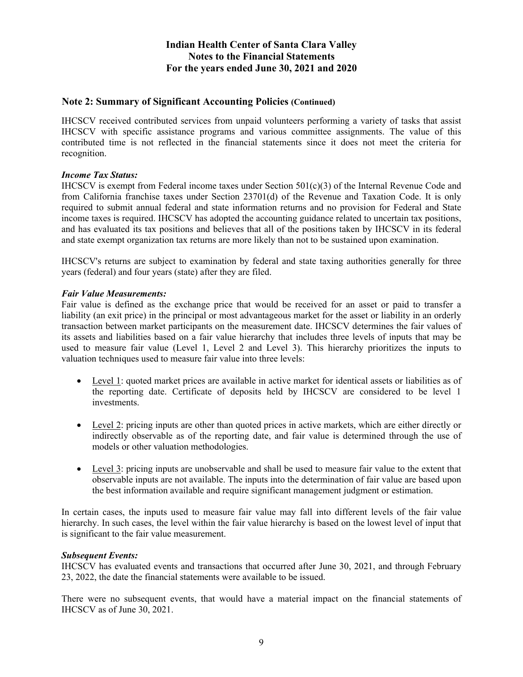### **Note 2: Summary of Significant Accounting Policies (Continued)**

IHCSCV received contributed services from unpaid volunteers performing a variety of tasks that assist IHCSCV with specific assistance programs and various committee assignments. The value of this contributed time is not reflected in the financial statements since it does not meet the criteria for recognition.

#### *Income Tax Status:*

IHCSCV is exempt from Federal income taxes under Section  $501(c)(3)$  of the Internal Revenue Code and from California franchise taxes under Section 23701(d) of the Revenue and Taxation Code. It is only required to submit annual federal and state information returns and no provision for Federal and State income taxes is required. IHCSCV has adopted the accounting guidance related to uncertain tax positions, and has evaluated its tax positions and believes that all of the positions taken by IHCSCV in its federal and state exempt organization tax returns are more likely than not to be sustained upon examination.

IHCSCV's returns are subject to examination by federal and state taxing authorities generally for three years (federal) and four years (state) after they are filed.

#### *Fair Value Measurements:*

Fair value is defined as the exchange price that would be received for an asset or paid to transfer a liability (an exit price) in the principal or most advantageous market for the asset or liability in an orderly transaction between market participants on the measurement date. IHCSCV determines the fair values of its assets and liabilities based on a fair value hierarchy that includes three levels of inputs that may be used to measure fair value (Level 1, Level 2 and Level 3). This hierarchy prioritizes the inputs to valuation techniques used to measure fair value into three levels:

- Level 1: quoted market prices are available in active market for identical assets or liabilities as of the reporting date. Certificate of deposits held by IHCSCV are considered to be level 1 investments.
- Level 2: pricing inputs are other than quoted prices in active markets, which are either directly or indirectly observable as of the reporting date, and fair value is determined through the use of models or other valuation methodologies.
- Level 3: pricing inputs are unobservable and shall be used to measure fair value to the extent that observable inputs are not available. The inputs into the determination of fair value are based upon the best information available and require significant management judgment or estimation.

In certain cases, the inputs used to measure fair value may fall into different levels of the fair value hierarchy. In such cases, the level within the fair value hierarchy is based on the lowest level of input that is significant to the fair value measurement.

#### *Subsequent Events:*

IHCSCV has evaluated events and transactions that occurred after June 30, 2021, and through February 23, 2022, the date the financial statements were available to be issued.

There were no subsequent events, that would have a material impact on the financial statements of IHCSCV as of June 30, 2021.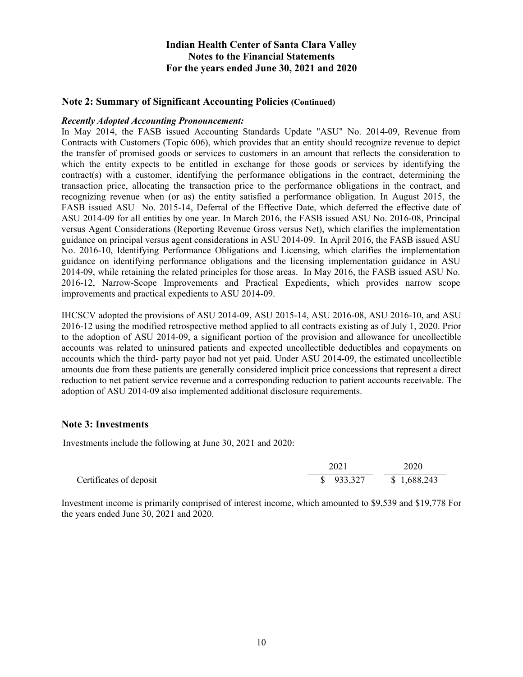### **Note 2: Summary of Significant Accounting Policies (Continued)**

#### *Recently Adopted Accounting Pronouncement:*

In May 2014, the FASB issued Accounting Standards Update "ASU" No. 2014-09, Revenue from Contracts with Customers (Topic 606), which provides that an entity should recognize revenue to depict the transfer of promised goods or services to customers in an amount that reflects the consideration to which the entity expects to be entitled in exchange for those goods or services by identifying the contract(s) with a customer, identifying the performance obligations in the contract, determining the transaction price, allocating the transaction price to the performance obligations in the contract, and recognizing revenue when (or as) the entity satisfied a performance obligation. In August 2015, the FASB issued ASU No. 2015-14, Deferral of the Effective Date, which deferred the effective date of ASU 2014-09 for all entities by one year. In March 2016, the FASB issued ASU No. 2016-08, Principal versus Agent Considerations (Reporting Revenue Gross versus Net), which clarifies the implementation guidance on principal versus agent considerations in ASU 2014-09. In April 2016, the FASB issued ASU No. 2016-10, Identifying Performance Obligations and Licensing, which clarifies the implementation guidance on identifying performance obligations and the licensing implementation guidance in ASU 2014-09, while retaining the related principles for those areas. In May 2016, the FASB issued ASU No. 2016-12, Narrow-Scope Improvements and Practical Expedients, which provides narrow scope improvements and practical expedients to ASU 2014-09.

IHCSCV adopted the provisions of ASU 2014-09, ASU 2015-14, ASU 2016-08, ASU 2016-10, and ASU 2016-12 using the modified retrospective method applied to all contracts existing as of July 1, 2020. Prior to the adoption of ASU 2014-09, a significant portion of the provision and allowance for uncollectible accounts was related to uninsured patients and expected uncollectible deductibles and copayments on accounts which the third- party payor had not yet paid. Under ASU 2014-09, the estimated uncollectible amounts due from these patients are generally considered implicit price concessions that represent a direct reduction to net patient service revenue and a corresponding reduction to patient accounts receivable. The adoption of ASU 2014-09 also implemented additional disclosure requirements.

#### **Note 3: Investments**

Investments include the following at June 30, 2021 and 2020:

|                         | 2021      | 2020        |
|-------------------------|-----------|-------------|
| Certificates of deposit | \$933,327 | \$1,688,243 |

Investment income is primarily comprised of interest income, which amounted to \$9,539 and \$19,778 For the years ended June 30, 2021 and 2020.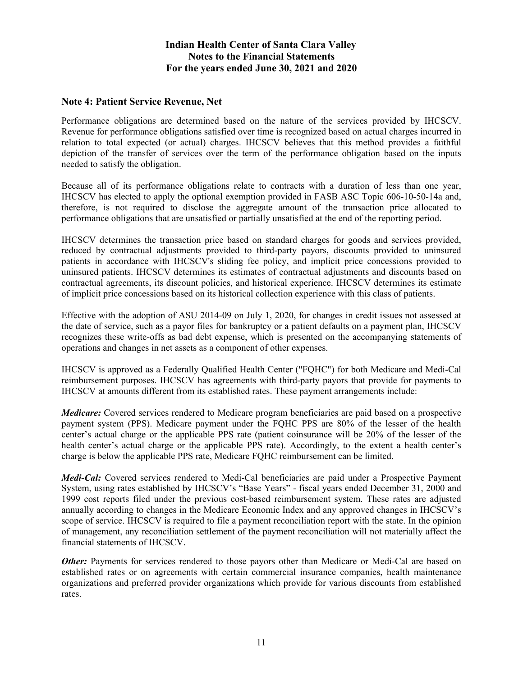### **Note 4: Patient Service Revenue, Net**

Performance obligations are determined based on the nature of the services provided by IHCSCV. Revenue for performance obligations satisfied over time is recognized based on actual charges incurred in relation to total expected (or actual) charges. IHCSCV believes that this method provides a faithful depiction of the transfer of services over the term of the performance obligation based on the inputs needed to satisfy the obligation.

Because all of its performance obligations relate to contracts with a duration of less than one year, IHCSCV has elected to apply the optional exemption provided in FASB ASC Topic 606-10-50-14a and, therefore, is not required to disclose the aggregate amount of the transaction price allocated to performance obligations that are unsatisfied or partially unsatisfied at the end of the reporting period.

IHCSCV determines the transaction price based on standard charges for goods and services provided, reduced by contractual adjustments provided to third-party payors, discounts provided to uninsured patients in accordance with IHCSCV's sliding fee policy, and implicit price concessions provided to uninsured patients. IHCSCV determines its estimates of contractual adjustments and discounts based on contractual agreements, its discount policies, and historical experience. IHCSCV determines its estimate of implicit price concessions based on its historical collection experience with this class of patients.

Effective with the adoption of ASU 2014-09 on July 1, 2020, for changes in credit issues not assessed at the date of service, such as a payor files for bankruptcy or a patient defaults on a payment plan, IHCSCV recognizes these write-offs as bad debt expense, which is presented on the accompanying statements of operations and changes in net assets as a component of other expenses.

IHCSCV is approved as a Federally Qualified Health Center ("FQHC") for both Medicare and Medi-Cal reimbursement purposes. IHCSCV has agreements with third-party payors that provide for payments to IHCSCV at amounts different from its established rates. These payment arrangements include:

*Medicare:* Covered services rendered to Medicare program beneficiaries are paid based on a prospective payment system (PPS). Medicare payment under the FQHC PPS are 80% of the lesser of the health center's actual charge or the applicable PPS rate (patient coinsurance will be 20% of the lesser of the health center's actual charge or the applicable PPS rate). Accordingly, to the extent a health center's charge is below the applicable PPS rate, Medicare FQHC reimbursement can be limited.

*Medi-Cal:* Covered services rendered to Medi-Cal beneficiaries are paid under a Prospective Payment System, using rates established by IHCSCV's "Base Years" - fiscal years ended December 31, 2000 and 1999 cost reports filed under the previous cost-based reimbursement system. These rates are adjusted annually according to changes in the Medicare Economic Index and any approved changes in IHCSCV's scope of service. IHCSCV is required to file a payment reconciliation report with the state. In the opinion of management, any reconciliation settlement of the payment reconciliation will not materially affect the financial statements of IHCSCV.

*Other:* Payments for services rendered to those payors other than Medicare or Medi-Cal are based on established rates or on agreements with certain commercial insurance companies, health maintenance organizations and preferred provider organizations which provide for various discounts from established rates.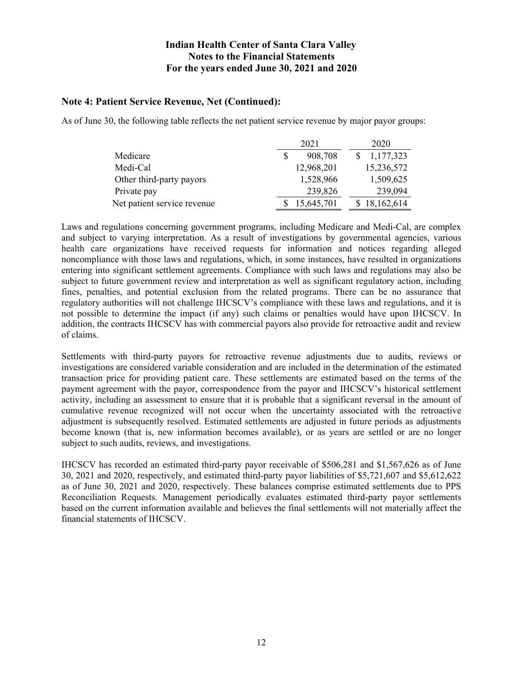### **Note 4: Patient Service Revenue, Net (Continued):**

As of June 30, the following table reflects the net patient service revenue by major payor groups:

|                             | 2021 |            | 2020         |
|-----------------------------|------|------------|--------------|
| Medicare                    |      | 908,708    | 1,177,323    |
| Medi-Cal                    |      | 12,968,201 | 15,236,572   |
| Other third-party payors    |      | 1,528,966  | 1,509,625    |
| Private pay                 |      | 239,826    | 239,094      |
| Net patient service revenue |      | 15,645,701 | \$18,162,614 |

Laws and regulations concerning government programs, including Medicare and Medi-Cal, are complex and subject to varying interpretation. As a result of investigations by governmental agencies, various health care organizations have received requests for information and notices regarding alleged noncompliance with those laws and regulations, which, in some instances, have resulted in organizations entering into significant settlement agreements. Compliance with such laws and regulations may also be subject to future government review and interpretation as well as significant regulatory action, including fines, penalties, and potential exclusion from the related programs. There can be no assurance that regulatory authorities will not challenge IHCSCV's compliance with these laws and regulations, and it is not possible to determine the impact (if any) such claims or penalties would have upon IHCSCV. In addition, the contracts IHCSCV has with commercial payors also provide for retroactive audit and review of claims.

Settlements with third-party payors for retroactive revenue adjustments due to audits, reviews or investigations are considered variable consideration and are included in the determination of the estimated transaction price for providing patient care. These settlements are estimated based on the terms of the payment agreement with the payor, correspondence from the payor and IHCSCV's historical settlement activity, including an assessment to ensure that it is probable that a significant reversal in the amount of cumulative revenue recognized will not occur when the uncertainty associated with the retroactive adjustment is subsequently resolved. Estimated settlements are adjusted in future periods as adjustments become known (that is, new information becomes available), or as years are settled or are no longer subject to such audits, reviews, and investigations.

IHCSCV has recorded an estimated third-party payor receivable of \$506,281 and \$1,567,626 as of June 30, 2021 and 2020, respectively, and estimated third-party payor liabilities of \$5,721,607 and \$5,612,622 as of June 30, 2021 and 2020, respectively. These balances comprise estimated settlements due to PPS Reconciliation Requests. Management periodically evaluates estimated third-party payor settlements based on the current information available and believes the final settlements will not materially affect the financial statements of IHCSCV.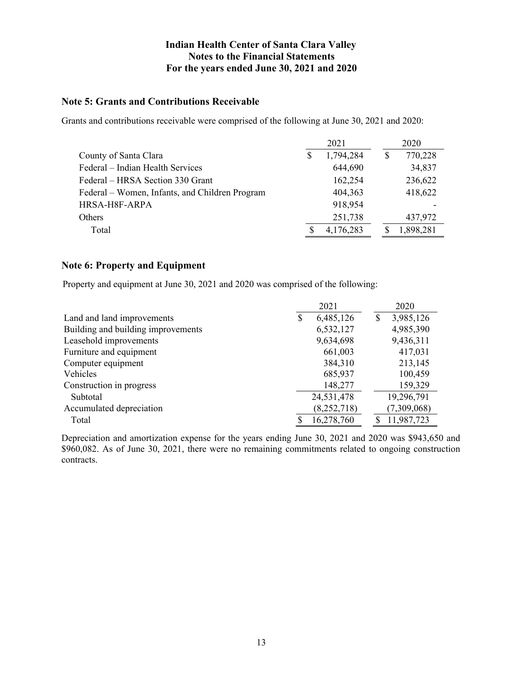### **Note 5: Grants and Contributions Receivable**

Grants and contributions receivable were comprised of the following at June 30, 2021 and 2020:

|                                                | 2021 |           |  | 2020      |  |
|------------------------------------------------|------|-----------|--|-----------|--|
| County of Santa Clara                          |      | 1,794,284 |  | 770,228   |  |
| Federal – Indian Health Services               |      | 644,690   |  | 34,837    |  |
| Federal – HRSA Section 330 Grant               |      | 162,254   |  | 236,622   |  |
| Federal – Women, Infants, and Children Program |      | 404,363   |  | 418,622   |  |
| HRSA-H8F-ARPA                                  |      | 918,954   |  |           |  |
| <b>Others</b>                                  |      | 251,738   |  | 437,972   |  |
| Total                                          |      | 4,176,283 |  | 1,898,281 |  |

### **Note 6: Property and Equipment**

Property and equipment at June 30, 2021 and 2020 was comprised of the following:

|                                    | 2021 |               |   | 2020        |
|------------------------------------|------|---------------|---|-------------|
| Land and land improvements         |      | 6,485,126     | S | 3,985,126   |
| Building and building improvements |      | 6,532,127     |   | 4,985,390   |
| Leasehold improvements             |      | 9,634,698     |   | 9,436,311   |
| Furniture and equipment            |      | 661,003       |   | 417,031     |
| Computer equipment                 |      | 384,310       |   | 213,145     |
| Vehicles                           |      | 685,937       |   | 100,459     |
| Construction in progress           |      | 148,277       |   | 159,329     |
| Subtotal                           |      | 24,531,478    |   | 19,296,791  |
| Accumulated depreciation           |      | (8, 252, 718) |   | (7,309,068) |
| Total                              |      | 16,278,760    |   | 11,987,723  |

Depreciation and amortization expense for the years ending June 30, 2021 and 2020 was \$943,650 and \$960,082. As of June 30, 2021, there were no remaining commitments related to ongoing construction contracts.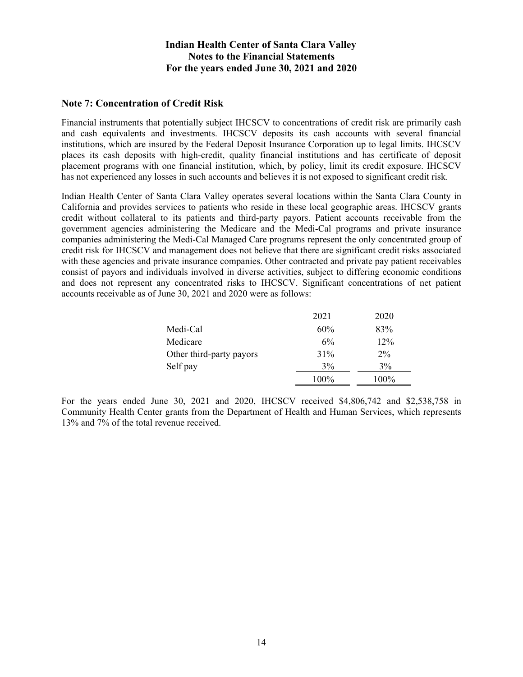### **Note 7: Concentration of Credit Risk**

Financial instruments that potentially subject IHCSCV to concentrations of credit risk are primarily cash and cash equivalents and investments. IHCSCV deposits its cash accounts with several financial institutions, which are insured by the Federal Deposit Insurance Corporation up to legal limits. IHCSCV places its cash deposits with high-credit, quality financial institutions and has certificate of deposit placement programs with one financial institution, which, by policy, limit its credit exposure. IHCSCV has not experienced any losses in such accounts and believes it is not exposed to significant credit risk.

Indian Health Center of Santa Clara Valley operates several locations within the Santa Clara County in California and provides services to patients who reside in these local geographic areas. IHCSCV grants credit without collateral to its patients and third-party payors. Patient accounts receivable from the government agencies administering the Medicare and the Medi-Cal programs and private insurance companies administering the Medi-Cal Managed Care programs represent the only concentrated group of credit risk for IHCSCV and management does not believe that there are significant credit risks associated with these agencies and private insurance companies. Other contracted and private pay patient receivables consist of payors and individuals involved in diverse activities, subject to differing economic conditions and does not represent any concentrated risks to IHCSCV. Significant concentrations of net patient accounts receivable as of June 30, 2021 and 2020 were as follows:

|                          | 2021 | 2020  |
|--------------------------|------|-------|
| Medi-Cal                 | 60%  | 83%   |
| Medicare                 | 6%   | 12%   |
| Other third-party payors | 31%  | $2\%$ |
| Self pay                 | 3%   | 3%    |
|                          | 100% | 100%  |

For the years ended June 30, 2021 and 2020, IHCSCV received \$4,806,742 and \$2,538,758 in Community Health Center grants from the Department of Health and Human Services, which represents 13% and 7% of the total revenue received.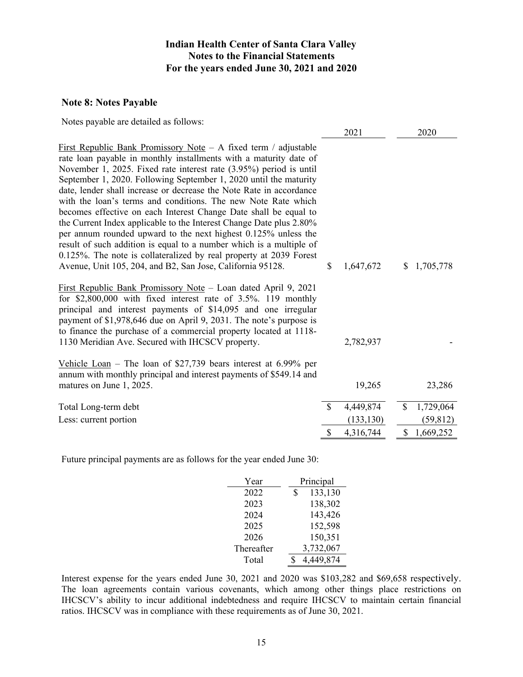### **Note 8: Notes Payable**

|  | Notes payable are detailed as follows: |
|--|----------------------------------------|
|--|----------------------------------------|

|                                                                                                                                                                                                                                                                                                                                                                                                                                                                                                                                                                                                                                                                                                                                                                                                                                                          |               | 2021       |              | 2020        |
|----------------------------------------------------------------------------------------------------------------------------------------------------------------------------------------------------------------------------------------------------------------------------------------------------------------------------------------------------------------------------------------------------------------------------------------------------------------------------------------------------------------------------------------------------------------------------------------------------------------------------------------------------------------------------------------------------------------------------------------------------------------------------------------------------------------------------------------------------------|---------------|------------|--------------|-------------|
| <u>First Republic Bank Promissory Note</u> $-$ A fixed term / adjustable<br>rate loan payable in monthly installments with a maturity date of<br>November 1, 2025. Fixed rate interest rate (3.95%) period is until<br>September 1, 2020. Following September 1, 2020 until the maturity<br>date, lender shall increase or decrease the Note Rate in accordance<br>with the loan's terms and conditions. The new Note Rate which<br>becomes effective on each Interest Change Date shall be equal to<br>the Current Index applicable to the Interest Change Date plus 2.80%<br>per annum rounded upward to the next highest 0.125% unless the<br>result of such addition is equal to a number which is a multiple of<br>0.125%. The note is collateralized by real property at 2039 Forest<br>Avenue, Unit 105, 204, and B2, San Jose, California 95128. | \$.           | 1,647,672  | \$           | 1,705,778   |
| First Republic Bank Promissory Note - Loan dated April 9, 2021<br>for $$2,800,000$ with fixed interest rate of $3.5\%$ . 119 monthly<br>principal and interest payments of \$14,095 and one irregular<br>payment of \$1,978,646 due on April 9, 2031. The note's purpose is<br>to finance the purchase of a commercial property located at 1118-<br>1130 Meridian Ave. Secured with IHCSCV property.                                                                                                                                                                                                                                                                                                                                                                                                                                                     |               | 2,782,937  |              |             |
| Vehicle Loan – The loan of \$27,739 bears interest at $6.99\%$ per<br>annum with monthly principal and interest payments of \$549.14 and<br>matures on June 1, 2025.                                                                                                                                                                                                                                                                                                                                                                                                                                                                                                                                                                                                                                                                                     |               | 19,265     |              | 23,286      |
| Total Long-term debt                                                                                                                                                                                                                                                                                                                                                                                                                                                                                                                                                                                                                                                                                                                                                                                                                                     | $\mathcal{S}$ | 4,449,874  | $\mathbb{S}$ | 1,729,064   |
| Less: current portion                                                                                                                                                                                                                                                                                                                                                                                                                                                                                                                                                                                                                                                                                                                                                                                                                                    |               | (133, 130) |              | (59, 812)   |
|                                                                                                                                                                                                                                                                                                                                                                                                                                                                                                                                                                                                                                                                                                                                                                                                                                                          | $\mathbf S$   | 4,316,744  |              | \$1,669,252 |

Future principal payments are as follows for the year ended June 30:

| Year       | Principal     |  |  |  |
|------------|---------------|--|--|--|
| 2022       | 133,130<br>\$ |  |  |  |
| 2023       | 138,302       |  |  |  |
| 2024       | 143,426       |  |  |  |
| 2025       | 152,598       |  |  |  |
| 2026       | 150,351       |  |  |  |
| Thereafter | 3,732,067     |  |  |  |
| Total      | 4,449,874     |  |  |  |

Interest expense for the years ended June 30, 2021 and 2020 was \$103,282 and \$69,658 respectively. The loan agreements contain various covenants, which among other things place restrictions on IHCSCV's ability to incur additional indebtedness and require IHCSCV to maintain certain financial ratios. IHCSCV was in compliance with these requirements as of June 30, 2021.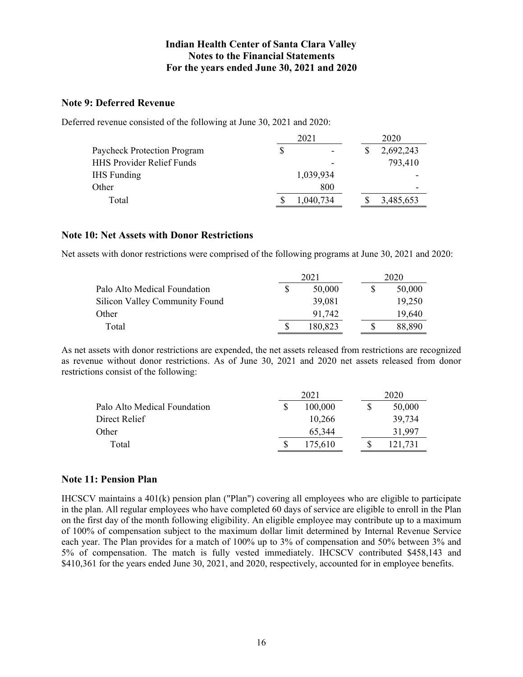### **Note 9: Deferred Revenue**

Deferred revenue consisted of the following at June 30, 2021 and 2020:

|                                  | 2021 |           | 2020 |           |  |
|----------------------------------|------|-----------|------|-----------|--|
| Paycheck Protection Program      | S    |           |      | 2,692,243 |  |
| <b>HHS Provider Relief Funds</b> |      |           |      | 793,410   |  |
| <b>IHS</b> Funding               |      | 1,039,934 |      |           |  |
| Other                            |      | 800       |      | -         |  |
| Total                            |      | 1,040,734 |      | 3,485,653 |  |

### **Note 10: Net Assets with Donor Restrictions**

Net assets with donor restrictions were comprised of the following programs at June 30, 2021 and 2020:

|                                       | 2021    | 2020   |  |
|---------------------------------------|---------|--------|--|
| Palo Alto Medical Foundation          | 50,000  | 50,000 |  |
| <b>Silicon Valley Community Found</b> | 39,081  | 19.250 |  |
| Other                                 | 91,742  | 19.640 |  |
| Total                                 | 180.823 | 88.890 |  |

As net assets with donor restrictions are expended, the net assets released from restrictions are recognized as revenue without donor restrictions. As of June 30, 2021 and 2020 net assets released from donor restrictions consist of the following:

|                              | 2021 |         |   | 2020    |  |
|------------------------------|------|---------|---|---------|--|
| Palo Alto Medical Foundation |      | 100,000 | S | 50,000  |  |
| Direct Relief                |      | 10.266  |   | 39.734  |  |
| Other                        |      | 65,344  |   | 31.997  |  |
| Total                        |      | 175,610 | S | 121.731 |  |

### **Note 11: Pension Plan**

IHCSCV maintains a 401(k) pension plan ("Plan") covering all employees who are eligible to participate in the plan. All regular employees who have completed 60 days of service are eligible to enroll in the Plan on the first day of the month following eligibility. An eligible employee may contribute up to a maximum of 100% of compensation subject to the maximum dollar limit determined by Internal Revenue Service each year. The Plan provides for a match of 100% up to 3% of compensation and 50% between 3% and 5% of compensation. The match is fully vested immediately. IHCSCV contributed \$458,143 and \$410,361 for the years ended June 30, 2021, and 2020, respectively, accounted for in employee benefits.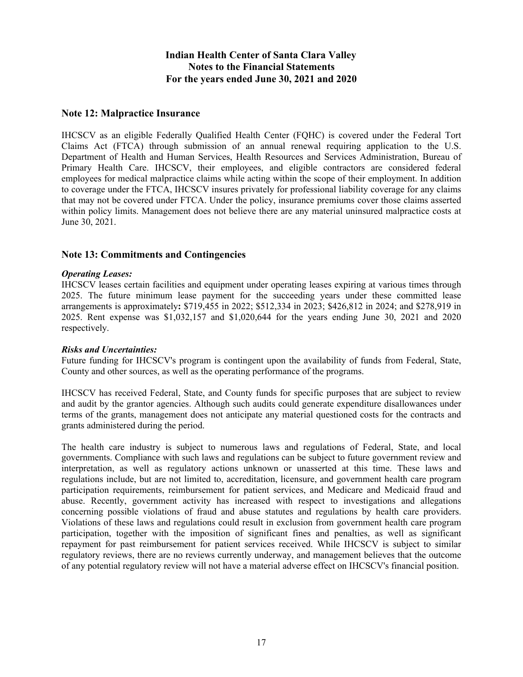### **Note 12: Malpractice Insurance**

IHCSCV as an eligible Federally Qualified Health Center (FQHC) is covered under the Federal Tort Claims Act (FTCA) through submission of an annual renewal requiring application to the U.S. Department of Health and Human Services, Health Resources and Services Administration, Bureau of Primary Health Care. IHCSCV, their employees, and eligible contractors are considered federal employees for medical malpractice claims while acting within the scope of their employment. In addition to coverage under the FTCA, IHCSCV insures privately for professional liability coverage for any claims that may not be covered under FTCA. Under the policy, insurance premiums cover those claims asserted within policy limits. Management does not believe there are any material uninsured malpractice costs at June 30, 2021.

### **Note 13: Commitments and Contingencies**

#### *Operating Leases:*

IHCSCV leases certain facilities and equipment under operating leases expiring at various times through 2025. The future minimum lease payment for the succeeding years under these committed lease arrangements is approximately**:** \$719,455 in 2022; \$512,334 in 2023; \$426,812 in 2024; and \$278,919 in 2025. Rent expense was \$1,032,157 and \$1,020,644 for the years ending June 30, 2021 and 2020 respectively.

#### *Risks and Uncertainties:*

Future funding for IHCSCV's program is contingent upon the availability of funds from Federal, State, County and other sources, as well as the operating performance of the programs.

IHCSCV has received Federal, State, and County funds for specific purposes that are subject to review and audit by the grantor agencies. Although such audits could generate expenditure disallowances under terms of the grants, management does not anticipate any material questioned costs for the contracts and grants administered during the period.

The health care industry is subject to numerous laws and regulations of Federal, State, and local governments. Compliance with such laws and regulations can be subject to future government review and interpretation, as well as regulatory actions unknown or unasserted at this time. These laws and regulations include, but are not limited to, accreditation, licensure, and government health care program participation requirements, reimbursement for patient services, and Medicare and Medicaid fraud and abuse. Recently, government activity has increased with respect to investigations and allegations concerning possible violations of fraud and abuse statutes and regulations by health care providers. Violations of these laws and regulations could result in exclusion from government health care program participation, together with the imposition of significant fines and penalties, as well as significant repayment for past reimbursement for patient services received. While IHCSCV is subject to similar regulatory reviews, there are no reviews currently underway, and management believes that the outcome of any potential regulatory review will not have a material adverse effect on IHCSCV's financial position.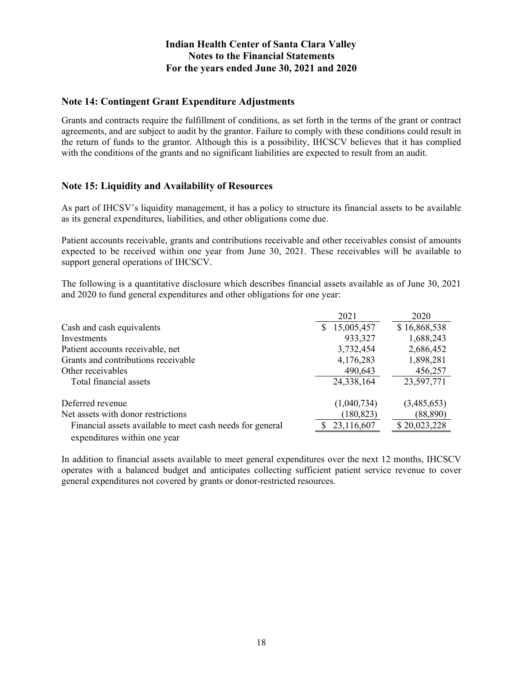### **Note 14: Contingent Grant Expenditure Adjustments**

Grants and contracts require the fulfillment of conditions, as set forth in the terms of the grant or contract agreements, and are subject to audit by the grantor. Failure to comply with these conditions could result in the return of funds to the grantor. Although this is a possibility, IHCSCV believes that it has complied with the conditions of the grants and no significant liabilities are expected to result from an audit.

### **Note 15: Liquidity and Availability of Resources**

As part of IHCSV's liquidity management, it has a policy to structure its financial assets to be available as its general expenditures, liabilities, and other obligations come due.

Patient accounts receivable, grants and contributions receivable and other receivables consist of amounts expected to be received within one year from June 30, 2021. These receivables will be available to support general operations of IHCSCV.

The following is a quantitative disclosure which describes financial assets available as of June 30, 2021 and 2020 to fund general expenditures and other obligations for one year:

|                                                           | 2021             | 2020         |
|-----------------------------------------------------------|------------------|--------------|
| Cash and cash equivalents                                 | 15,005,457<br>S. | \$16,868,538 |
| Investments                                               | 933,327          | 1,688,243    |
| Patient accounts receivable, net                          | 3,732,454        | 2,686,452    |
| Grants and contributions receivable                       | 4,176,283        | 1,898,281    |
| Other receivables                                         | 490,643          | 456,257      |
| Total financial assets                                    | 24,338,164       | 23,597,771   |
| Deferred revenue                                          | (1,040,734)      | (3,485,653)  |
| Net assets with donor restrictions                        | (180, 823)       | (88, 890)    |
| Financial assets available to meet cash needs for general | 23,116,607       | \$20,023,228 |
| expenditures within one year                              |                  |              |

In addition to financial assets available to meet general expenditures over the next 12 months, IHCSCV operates with a balanced budget and anticipates collecting sufficient patient service revenue to cover general expenditures not covered by grants or donor-restricted resources.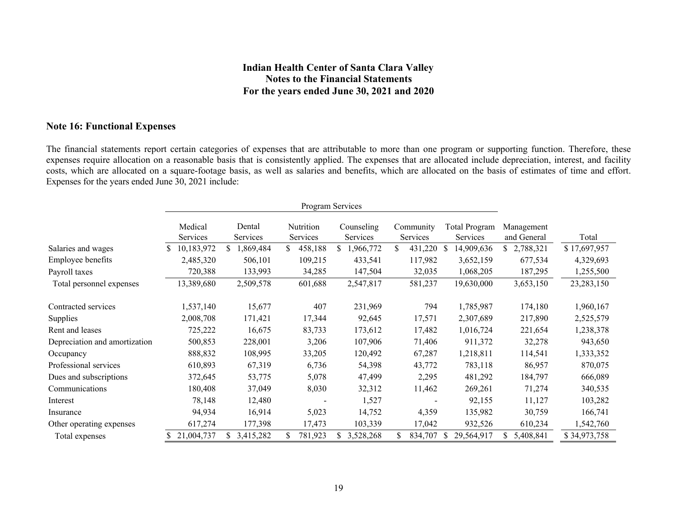### **Note 16: Functional Expenses**

The financial statements report certain categories of expenses that are attributable to more than one program or supporting function. Therefore, these expenses require allocation on a reasonable basis that is consistently applied. The expenses that are allocated include depreciation, interest, and facility costs, which are allocated on a square-footage basis, as well as salaries and benefits, which are allocated on the basis of estimates of time and effort. Expenses for the years ended June 30, 2021 include:

| Program Services              |                     |                    |                       |                        |                               |                                                                      |              |
|-------------------------------|---------------------|--------------------|-----------------------|------------------------|-------------------------------|----------------------------------------------------------------------|--------------|
|                               | Medical<br>Services | Dental<br>Services | Nutrition<br>Services | Counseling<br>Services | Community<br>Services         | <b>Total Program</b><br>Management<br>and General<br><b>Services</b> | Total        |
| Salaries and wages            | 10,183,972          | ,869,484           | \$<br>458,188         | 1,966,772<br>S.        | 431,220<br>S.<br>-S           | \$2,788,321<br>14,909,636                                            | \$17,697,957 |
| Employee benefits             | 2,485,320           | 506,101            | 109,215               | 433,541                | 117,982                       | 3,652,159<br>677,534                                                 | 4,329,693    |
| Payroll taxes                 | 720,388             | 133,993            | 34,285                | 147,504                | 32,035                        | 187,295<br>1,068,205                                                 | 1,255,500    |
| Total personnel expenses      | 13,389,680          | 2,509,578          | 601,688               | 2,547,817              | 581,237                       | 19,630,000<br>3,653,150                                              | 23, 283, 150 |
| Contracted services           | 1,537,140           | 15,677             | 407                   | 231,969                | 794                           | 1,785,987<br>174,180                                                 | 1,960,167    |
| <b>Supplies</b>               | 2,008,708           | 171,421            | 17,344                | 92,645                 | 17,571                        | 2,307,689<br>217,890                                                 | 2,525,579    |
| Rent and leases               | 725,222             | 16,675             | 83,733                | 173,612                | 17,482                        | 1,016,724<br>221,654                                                 | 1,238,378    |
| Depreciation and amortization | 500,853             | 228,001            | 3,206                 | 107,906                | 71,406                        | 911,372<br>32,278                                                    | 943,650      |
| Occupancy                     | 888,832             | 108,995            | 33,205                | 120,492                | 67,287                        | 1,218,811<br>114,541                                                 | 1,333,352    |
| Professional services         | 610,893             | 67,319             | 6,736                 | 54,398                 | 43,772                        | 783,118<br>86,957                                                    | 870,075      |
| Dues and subscriptions        | 372,645             | 53,775             | 5,078                 | 47,499                 | 2,295                         | 481,292<br>184,797                                                   | 666,089      |
| Communications                | 180,408             | 37,049             | 8,030                 | 32,312                 | 11,462                        | 269,261<br>71,274                                                    | 340,535      |
| Interest                      | 78,148              | 12,480             |                       | 1,527                  | ۰                             | 92,155<br>11,127                                                     | 103,282      |
| Insurance                     | 94,934              | 16,914             | 5,023                 | 14,752                 | 4,359                         | 135,982<br>30,759                                                    | 166,741      |
| Other operating expenses      | 617,274             | 177,398            | 17,473                | 103,339                | 17,042                        | 932,526<br>610,234                                                   | 1,542,760    |
| Total expenses                | 21,004,737          | 3,415,282          | 781,923<br>S          | 3,528,268<br>S.        | 834,707<br><sup>S</sup><br>S. | 29,564,917<br>5,408,841<br>S.                                        | \$34,973,758 |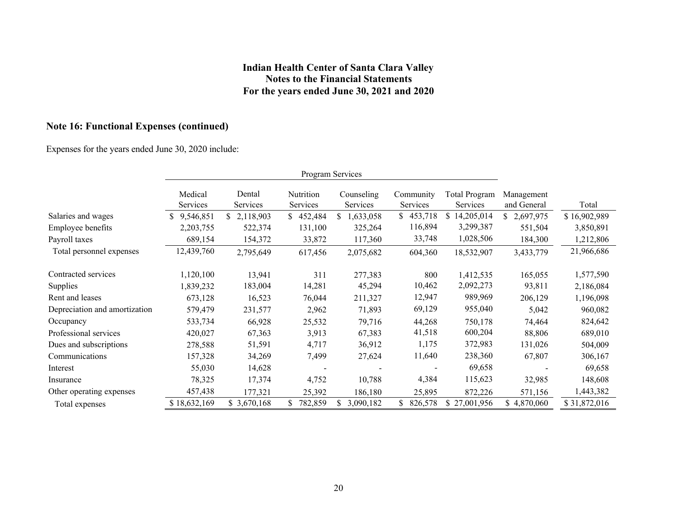# **Note 16: Functional Expenses (continued)**

Expenses for the years ended June 30, 2020 include:

|                               | Program Services    |                    |                       |                        |                       |                                  |                           |              |
|-------------------------------|---------------------|--------------------|-----------------------|------------------------|-----------------------|----------------------------------|---------------------------|--------------|
|                               | Medical<br>Services | Dental<br>Services | Nutrition<br>Services | Counseling<br>Services | Community<br>Services | <b>Total Program</b><br>Services | Management<br>and General | Total        |
| Salaries and wages            | 9,546,851           | 2,118,903          | 452,484               | 1,633,058              | 453,718               | 14,205,014                       | 2,697,975<br>S.           | \$16,902,989 |
| Employee benefits             | 2,203,755           | 522,374            | 131,100               | 325,264                | 116,894               | 3,299,387                        | 551,504                   | 3,850,891    |
| Payroll taxes                 | 689,154             | 154,372            | 33,872                | 117,360                | 33,748                | 1,028,506                        | 184,300                   | 1,212,806    |
| Total personnel expenses      | 12,439,760          | 2,795,649          | 617,456               | 2,075,682              | 604,360               | 18,532,907                       | 3,433,779                 | 21,966,686   |
| Contracted services           | 1,120,100           | 13,941             | 311                   | 277,383                | 800                   | 1,412,535                        | 165,055                   | 1,577,590    |
| Supplies                      | 1,839,232           | 183,004            | 14,281                | 45,294                 | 10,462                | 2,092,273                        | 93,811                    | 2,186,084    |
| Rent and leases               | 673,128             | 16,523             | 76,044                | 211,327                | 12,947                | 989,969                          | 206,129                   | 1,196,098    |
| Depreciation and amortization | 579,479             | 231,577            | 2,962                 | 71,893                 | 69,129                | 955,040                          | 5,042                     | 960,082      |
| Occupancy                     | 533,734             | 66,928             | 25,532                | 79,716                 | 44,268                | 750,178                          | 74,464                    | 824,642      |
| Professional services         | 420,027             | 67,363             | 3,913                 | 67,383                 | 41,518                | 600,204                          | 88,806                    | 689,010      |
| Dues and subscriptions        | 278,588             | 51,591             | 4,717                 | 36,912                 | 1,175                 | 372,983                          | 131,026                   | 504,009      |
| Communications                | 157,328             | 34,269             | 7,499                 | 27,624                 | 11,640                | 238,360                          | 67,807                    | 306,167      |
| Interest                      | 55,030              | 14,628             |                       |                        |                       | 69,658                           |                           | 69,658       |
| Insurance                     | 78,325              | 17,374             | 4,752                 | 10,788                 | 4,384                 | 115,623                          | 32,985                    | 148,608      |
| Other operating expenses      | 457,438             | 177,321            | 25,392                | 186,180                | 25,895                | 872,226                          | 571,156                   | 1,443,382    |
| Total expenses                | \$18,632,169        | \$3,670,168        | 782,859               | 3,090,182              | 826,578               | \$27,001,956                     | \$4,870,060               | \$31,872,016 |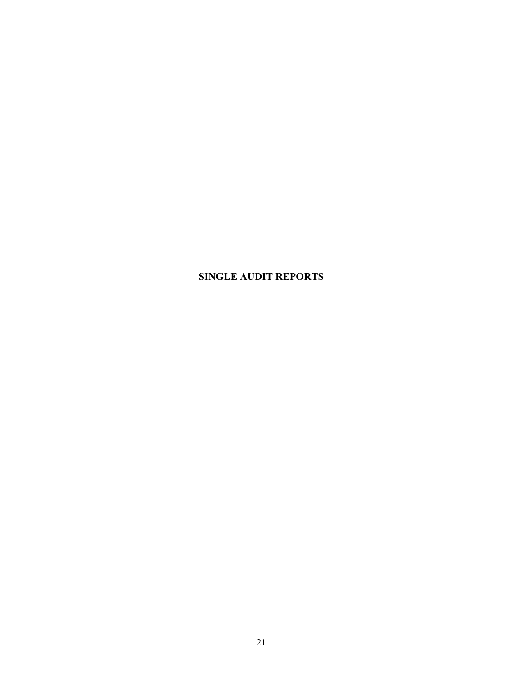# **SINGLE AUDIT REPORTS**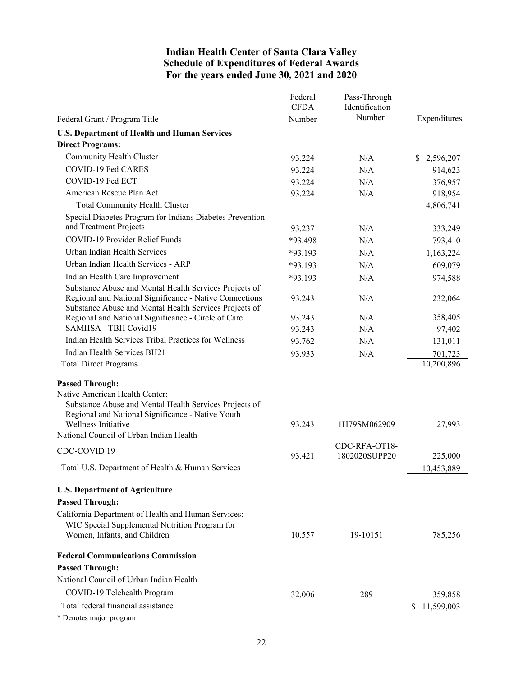### **Indian Health Center of Santa Clara Valley Schedule of Expenditures of Federal Awards For the years ended June 30, 2021 and 2020**

|                                                                                                                   | Federal<br><b>CFDA</b> | Pass-Through<br>Identification |                 |
|-------------------------------------------------------------------------------------------------------------------|------------------------|--------------------------------|-----------------|
| Federal Grant / Program Title                                                                                     | Number                 | Number                         | Expenditures    |
| <b>U.S. Department of Health and Human Services</b>                                                               |                        |                                |                 |
| <b>Direct Programs:</b>                                                                                           |                        |                                |                 |
| Community Health Cluster                                                                                          | 93.224                 | N/A                            | 2,596,207<br>S. |
| COVID-19 Fed CARES                                                                                                | 93.224                 | N/A                            | 914,623         |
| COVID-19 Fed ECT                                                                                                  | 93.224                 | N/A                            | 376,957         |
| American Rescue Plan Act                                                                                          | 93.224                 | N/A                            | 918,954         |
| <b>Total Community Health Cluster</b>                                                                             |                        |                                | 4,806,741       |
| Special Diabetes Program for Indians Diabetes Prevention                                                          |                        |                                |                 |
| and Treatment Projects                                                                                            | 93.237                 | N/A                            | 333,249         |
| COVID-19 Provider Relief Funds                                                                                    | *93.498                | N/A                            | 793,410         |
| Urban Indian Health Services                                                                                      | *93.193                | N/A                            | 1,163,224       |
| Urban Indian Health Services - ARP                                                                                | $*93.193$              | N/A                            | 609,079         |
| Indian Health Care Improvement                                                                                    | *93.193                | N/A                            | 974,588         |
| Substance Abuse and Mental Health Services Projects of                                                            |                        |                                |                 |
| Regional and National Significance - Native Connections<br>Substance Abuse and Mental Health Services Projects of | 93.243                 | N/A                            | 232,064         |
| Regional and National Significance - Circle of Care                                                               | 93.243                 | N/A                            | 358,405         |
| <b>SAMHSA - TBH Covid19</b>                                                                                       | 93.243                 | N/A                            | 97,402          |
| Indian Health Services Tribal Practices for Wellness                                                              | 93.762                 | N/A                            | 131,011         |
| Indian Health Services BH21                                                                                       | 93.933                 | N/A                            | 701,723         |
| <b>Total Direct Programs</b>                                                                                      |                        |                                | 10,200,896      |
|                                                                                                                   |                        |                                |                 |
| <b>Passed Through:</b><br>Native American Health Center:                                                          |                        |                                |                 |
| Substance Abuse and Mental Health Services Projects of                                                            |                        |                                |                 |
| Regional and National Significance - Native Youth                                                                 |                        |                                |                 |
| Wellness Initiative                                                                                               | 93.243                 | 1H79SM062909                   | 27,993          |
| National Council of Urban Indian Health                                                                           |                        |                                |                 |
| CDC-COVID 19                                                                                                      |                        | CDC-RFA-OT18-<br>1802020SUPP20 |                 |
| Total U.S. Department of Health & Human Services                                                                  | 93.421                 |                                | 225,000         |
|                                                                                                                   |                        |                                | 10,453,889      |
| <b>U.S. Department of Agriculture</b>                                                                             |                        |                                |                 |
| <b>Passed Through:</b>                                                                                            |                        |                                |                 |
| California Department of Health and Human Services:                                                               |                        |                                |                 |
| WIC Special Supplemental Nutrition Program for                                                                    |                        |                                |                 |
| Women, Infants, and Children                                                                                      | 10.557                 | 19-10151                       | 785,256         |
| <b>Federal Communications Commission</b>                                                                          |                        |                                |                 |
| <b>Passed Through:</b>                                                                                            |                        |                                |                 |
| National Council of Urban Indian Health                                                                           |                        |                                |                 |
| COVID-19 Telehealth Program                                                                                       |                        |                                |                 |
| Total federal financial assistance                                                                                | 32.006                 | 289                            | 359,858         |
| * Denotes major program                                                                                           |                        |                                | \$11,599,003    |
|                                                                                                                   |                        |                                |                 |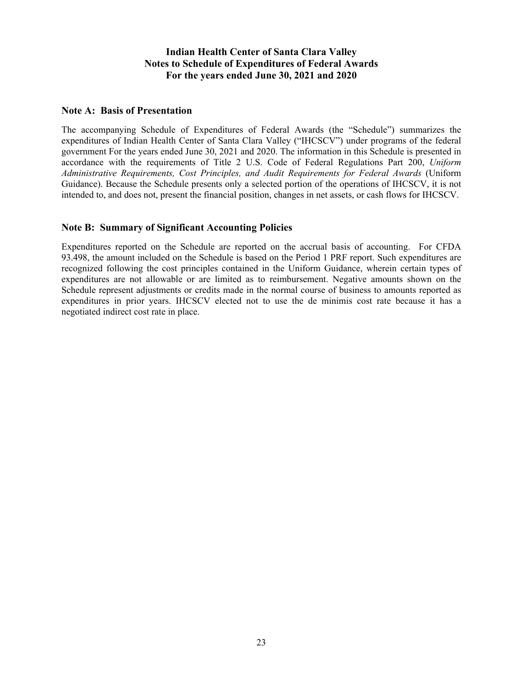### **Indian Health Center of Santa Clara Valley Notes to Schedule of Expenditures of Federal Awards For the years ended June 30, 2021 and 2020**

### **Note A: Basis of Presentation**

The accompanying Schedule of Expenditures of Federal Awards (the "Schedule") summarizes the expenditures of Indian Health Center of Santa Clara Valley ("IHCSCV") under programs of the federal government For the years ended June 30, 2021 and 2020. The information in this Schedule is presented in accordance with the requirements of Title 2 U.S. Code of Federal Regulations Part 200, *Uniform Administrative Requirements, Cost Principles, and Audit Requirements for Federal Awards* (Uniform Guidance). Because the Schedule presents only a selected portion of the operations of IHCSCV, it is not intended to, and does not, present the financial position, changes in net assets, or cash flows for IHCSCV.

### **Note B: Summary of Significant Accounting Policies**

Expenditures reported on the Schedule are reported on the accrual basis of accounting. For CFDA 93.498, the amount included on the Schedule is based on the Period 1 PRF report. Such expenditures are recognized following the cost principles contained in the Uniform Guidance, wherein certain types of expenditures are not allowable or are limited as to reimbursement. Negative amounts shown on the Schedule represent adjustments or credits made in the normal course of business to amounts reported as expenditures in prior years. IHCSCV elected not to use the de minimis cost rate because it has a negotiated indirect cost rate in place.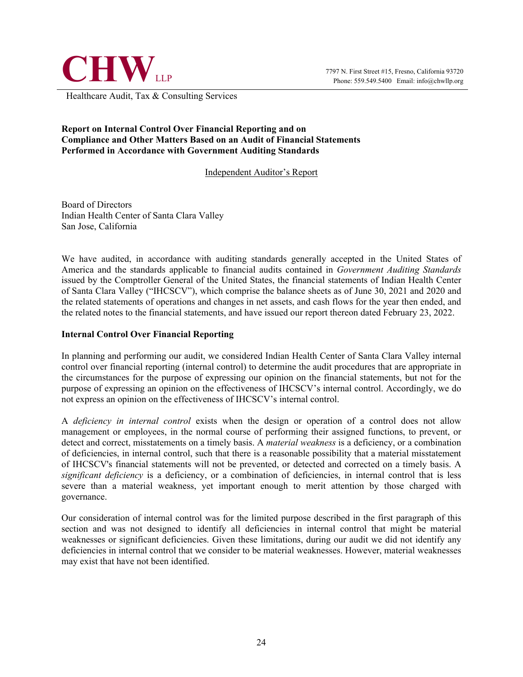

Healthcare Audit, Tax & Consulting Services

### **Report on Internal Control Over Financial Reporting and on Compliance and Other Matters Based on an Audit of Financial Statements Performed in Accordance with Government Auditing Standards**

### Independent Auditor's Report

Board of Directors Indian Health Center of Santa Clara Valley San Jose, California

We have audited, in accordance with auditing standards generally accepted in the United States of America and the standards applicable to financial audits contained in *Government Auditing Standards*  issued by the Comptroller General of the United States, the financial statements of Indian Health Center of Santa Clara Valley ("IHCSCV"), which comprise the balance sheets as of June 30, 2021 and 2020 and the related statements of operations and changes in net assets, and cash flows for the year then ended, and the related notes to the financial statements, and have issued our report thereon dated February 23, 2022.

### **Internal Control Over Financial Reporting**

In planning and performing our audit, we considered Indian Health Center of Santa Clara Valley internal control over financial reporting (internal control) to determine the audit procedures that are appropriate in the circumstances for the purpose of expressing our opinion on the financial statements, but not for the purpose of expressing an opinion on the effectiveness of IHCSCV's internal control. Accordingly, we do not express an opinion on the effectiveness of IHCSCV's internal control.

A *deficiency in internal control* exists when the design or operation of a control does not allow management or employees, in the normal course of performing their assigned functions, to prevent, or detect and correct, misstatements on a timely basis. A *material weakness* is a deficiency, or a combination of deficiencies, in internal control, such that there is a reasonable possibility that a material misstatement of IHCSCV's financial statements will not be prevented, or detected and corrected on a timely basis. A *significant deficiency* is a deficiency, or a combination of deficiencies, in internal control that is less severe than a material weakness, yet important enough to merit attention by those charged with governance.

Our consideration of internal control was for the limited purpose described in the first paragraph of this section and was not designed to identify all deficiencies in internal control that might be material weaknesses or significant deficiencies. Given these limitations, during our audit we did not identify any deficiencies in internal control that we consider to be material weaknesses. However, material weaknesses may exist that have not been identified.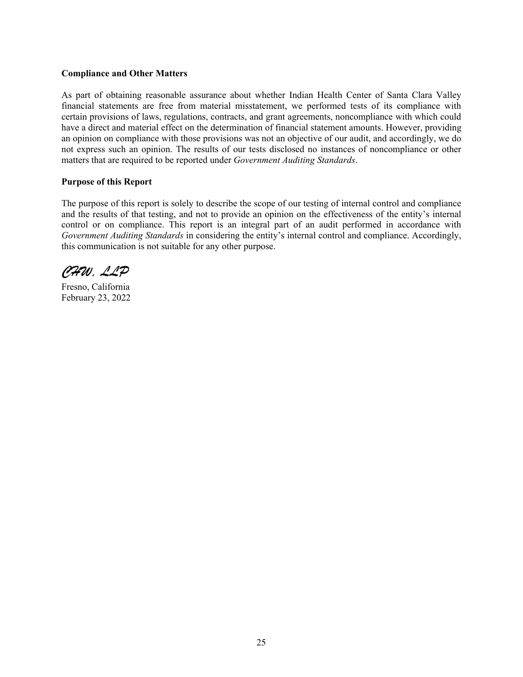#### **Compliance and Other Matters**

As part of obtaining reasonable assurance about whether Indian Health Center of Santa Clara Valley financial statements are free from material misstatement, we performed tests of its compliance with certain provisions of laws, regulations, contracts, and grant agreements, noncompliance with which could have a direct and material effect on the determination of financial statement amounts. However, providing an opinion on compliance with those provisions was not an objective of our audit, and accordingly, we do not express such an opinion. The results of our tests disclosed no instances of noncompliance or other matters that are required to be reported under *Government Auditing Standards*.

#### **Purpose of this Report**

The purpose of this report is solely to describe the scope of our testing of internal control and compliance and the results of that testing, and not to provide an opinion on the effectiveness of the entity's internal control or on compliance. This report is an integral part of an audit performed in accordance with *Government Auditing Standards* in considering the entity's internal control and compliance. Accordingly, this communication is not suitable for any other purpose.

*CHW, LLP*

Fresno, California February 23, 2022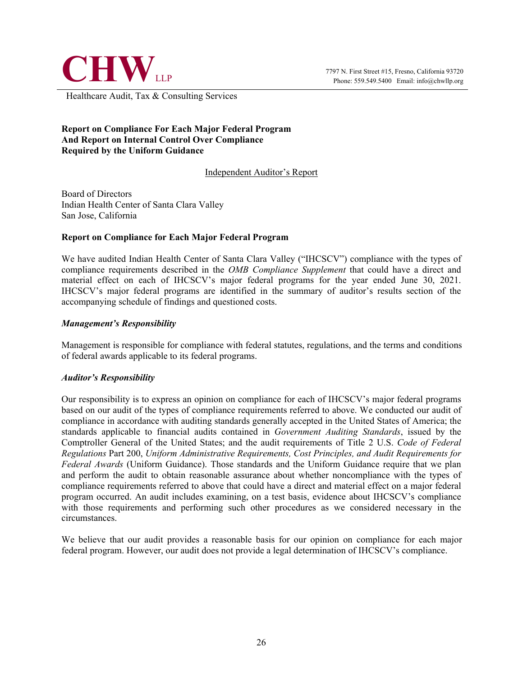

Healthcare Audit, Tax & Consulting Services

### **Report on Compliance For Each Major Federal Program And Report on Internal Control Over Compliance Required by the Uniform Guidance**

Independent Auditor's Report

Board of Directors Indian Health Center of Santa Clara Valley San Jose, California

#### **Report on Compliance for Each Major Federal Program**

We have audited Indian Health Center of Santa Clara Valley ("IHCSCV") compliance with the types of compliance requirements described in the *OMB Compliance Supplement* that could have a direct and material effect on each of IHCSCV's major federal programs for the year ended June 30, 2021. IHCSCV's major federal programs are identified in the summary of auditor's results section of the accompanying schedule of findings and questioned costs.

#### *Management's Responsibility*

Management is responsible for compliance with federal statutes, regulations, and the terms and conditions of federal awards applicable to its federal programs.

#### *Auditor's Responsibility*

Our responsibility is to express an opinion on compliance for each of IHCSCV's major federal programs based on our audit of the types of compliance requirements referred to above. We conducted our audit of compliance in accordance with auditing standards generally accepted in the United States of America; the standards applicable to financial audits contained in *Government Auditing Standards*, issued by the Comptroller General of the United States; and the audit requirements of Title 2 U.S. *Code of Federal Regulations* Part 200, *Uniform Administrative Requirements, Cost Principles, and Audit Requirements for Federal Awards* (Uniform Guidance). Those standards and the Uniform Guidance require that we plan and perform the audit to obtain reasonable assurance about whether noncompliance with the types of compliance requirements referred to above that could have a direct and material effect on a major federal program occurred. An audit includes examining, on a test basis, evidence about IHCSCV's compliance with those requirements and performing such other procedures as we considered necessary in the circumstances.

We believe that our audit provides a reasonable basis for our opinion on compliance for each major federal program. However, our audit does not provide a legal determination of IHCSCV's compliance.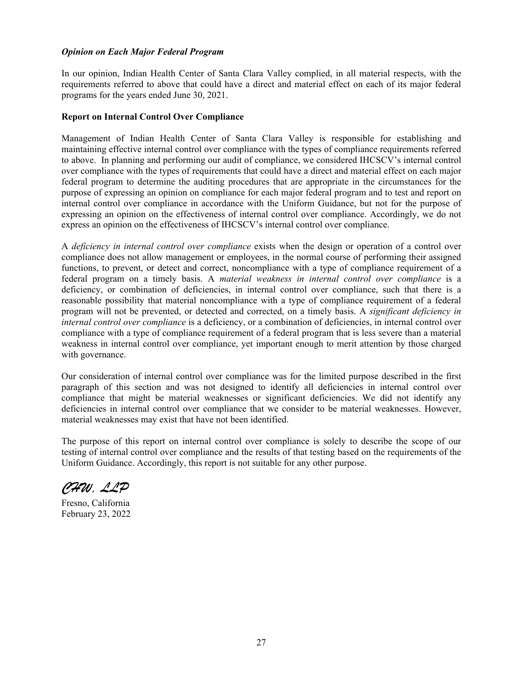#### *Opinion on Each Major Federal Program*

In our opinion, Indian Health Center of Santa Clara Valley complied, in all material respects, with the requirements referred to above that could have a direct and material effect on each of its major federal programs for the years ended June 30, 2021.

#### **Report on Internal Control Over Compliance**

Management of Indian Health Center of Santa Clara Valley is responsible for establishing and maintaining effective internal control over compliance with the types of compliance requirements referred to above. In planning and performing our audit of compliance, we considered IHCSCV's internal control over compliance with the types of requirements that could have a direct and material effect on each major federal program to determine the auditing procedures that are appropriate in the circumstances for the purpose of expressing an opinion on compliance for each major federal program and to test and report on internal control over compliance in accordance with the Uniform Guidance, but not for the purpose of expressing an opinion on the effectiveness of internal control over compliance. Accordingly, we do not express an opinion on the effectiveness of IHCSCV's internal control over compliance.

A *deficiency in internal control over compliance* exists when the design or operation of a control over compliance does not allow management or employees, in the normal course of performing their assigned functions, to prevent, or detect and correct, noncompliance with a type of compliance requirement of a federal program on a timely basis. A *material weakness in internal control over compliance* is a deficiency, or combination of deficiencies, in internal control over compliance, such that there is a reasonable possibility that material noncompliance with a type of compliance requirement of a federal program will not be prevented, or detected and corrected, on a timely basis. A *significant deficiency in internal control over compliance* is a deficiency, or a combination of deficiencies, in internal control over compliance with a type of compliance requirement of a federal program that is less severe than a material weakness in internal control over compliance, yet important enough to merit attention by those charged with governance.

Our consideration of internal control over compliance was for the limited purpose described in the first paragraph of this section and was not designed to identify all deficiencies in internal control over compliance that might be material weaknesses or significant deficiencies. We did not identify any deficiencies in internal control over compliance that we consider to be material weaknesses. However, material weaknesses may exist that have not been identified.

The purpose of this report on internal control over compliance is solely to describe the scope of our testing of internal control over compliance and the results of that testing based on the requirements of the Uniform Guidance. Accordingly, this report is not suitable for any other purpose.

*CHW, LLP*

Fresno, California February 23, 2022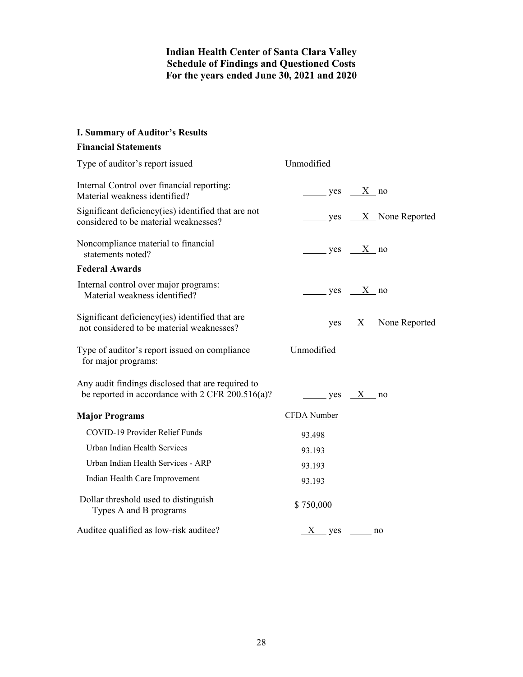### **Indian Health Center of Santa Clara Valley Schedule of Findings and Questioned Costs For the years ended June 30, 2021 and 2020**

### **I. Summary of Auditor's Results**

### **Financial Statements**

| Type of auditor's report issued                                                                       | Unmodified         |                                               |
|-------------------------------------------------------------------------------------------------------|--------------------|-----------------------------------------------|
| Internal Control over financial reporting:<br>Material weakness identified?                           | $yes$ X no         |                                               |
| Significant deficiency(ies) identified that are not<br>considered to be material weaknesses?          |                    | $\frac{1}{1}$ yes $\frac{1}{1}$ None Reported |
| Noncompliance material to financial<br>statements noted?                                              | $yes \tX no$       |                                               |
| <b>Federal Awards</b>                                                                                 |                    |                                               |
| Internal control over major programs:<br>Material weakness identified?                                | $yes$ $X$ no       |                                               |
| Significant deficiency (ies) identified that are<br>not considered to be material weaknesses?         |                    | $\frac{X}{X}$ None Reported                   |
| Type of auditor's report issued on compliance<br>for major programs:                                  | Unmodified         |                                               |
| Any audit findings disclosed that are required to<br>be reported in accordance with 2 CFR 200.516(a)? | $yes \tX no$       |                                               |
| <b>Major Programs</b>                                                                                 | <b>CFDA</b> Number |                                               |
| COVID-19 Provider Relief Funds                                                                        | 93.498             |                                               |
| Urban Indian Health Services                                                                          | 93.193             |                                               |
| Urban Indian Health Services - ARP                                                                    | 93.193             |                                               |
| Indian Health Care Improvement                                                                        | 93.193             |                                               |
| Dollar threshold used to distinguish<br>Types A and B programs                                        | \$750,000          |                                               |
| Auditee qualified as low-risk auditee?                                                                | $X$ yes no         |                                               |